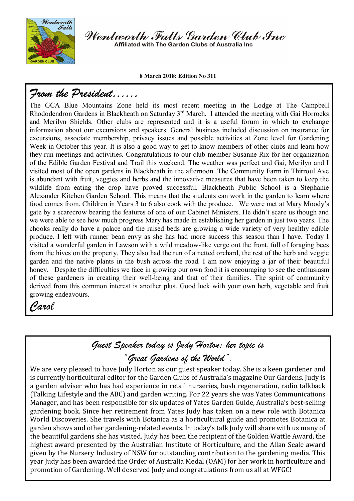

Wentworth Falls Garden Club Inc Affiliated with The Garden Clubs of Australia Ing

**8 March 2018: Edition No 311**

### *From the President……*

The GCA Blue Mountains Zone held its most recent meeting in the Lodge at The Campbell Rhododendron Gardens in Blackheath on Saturday 3<sup>rd</sup> March. I attended the meeting with Gai Horrocks and Merilyn Shields. Other clubs are represented and it is a useful forum in which to exchange information about our excursions and speakers. General business included discussion on insurance for excursions, associate membership, privacy issues and possible activities at Zone level for Gardening Week in October this year. It is also a good way to get to know members of other clubs and learn how they run meetings and activities. Congratulations to our club member Susanne Rix for her organization of the Edible Garden Festival and Trail this weekend. The weather was perfect and Gai, Merilyn and I visited most of the open gardens in Blackheath in the afternoon. The Community Farm in Thirroul Ave is abundant with fruit, veggies and herbs and the innovative measures that have been taken to keep the wildlife from eating the crop have proved successful. Blackheath Public School is a Stephanie Alexander Kitchen Garden School. This means that the students can work in the garden to learn where food comes from. Children in Years 3 to 6 also cook with the produce. We were met at Mary Moody's gate by a scarecrow bearing the features of one of our Cabinet Ministers. He didn't scare us though and we were able to see how much progress Mary has made in establishing her garden in just two years. The chooks really do have a palace and the raised beds are growing a wide variety of very healthy edible produce. I left with runner bean envy as she has had more success this season than I have. Today I visited a wonderful garden in Lawson with a wild meadow-like verge out the front, full of foraging bees from the hives on the property. They also had the run of a netted orchard, the rest of the herb and veggie garden and the native plants in the bush across the road. I am now enjoying a jar of their beautiful honey. Despite the difficulties we face in growing our own food it is encouraging to see the enthusiasm of these gardeners in creating their well-being and that of their families. The spirit of community derived from this common interest is another plus. Good luck with your own herb, vegetable and fruit growing endeavours.

## *Carol*

ŗ

# *Guest Speaker today is Judy Horton; her topic is "Great Gardens of the World".*

We are very pleased to have Judy Horton as our guest speaker today. She is a keen gardener and is currently horticultural editor for the Garden Clubs of Australia's magazine Our Gardens. Judy is a garden adviser who has had experience in retail nurseries, bush regeneration, radio talkback (Talking Lifestyle and the ABC) and garden writing. For 22 years she was Yates Communications Manager, and has been responsible for six updates of Yates Garden Guide, Australia's best-selling gardening book. Since her retirement from Yates Judy has taken on a new role with Botanica World Discoveries. She travels with Botanica as a horticultural guide and promotes Botanica at garden shows and other gardening-related events. In today's talk Judy will share with us many of the beautiful gardens she has visited. Judy has been the recipient of the Golden Wattle Award, the highest award presented by the Australian Institute of Horticulture, and the Allan Seale award given by the Nursery Industry of NSW for outstanding contribution to the gardening media. This year Judy has been awarded the Order of Australia Medal (OAM) for her work in horticulture and promotion of Gardening. Well deserved Judy and congratulations from us all at WFGC!